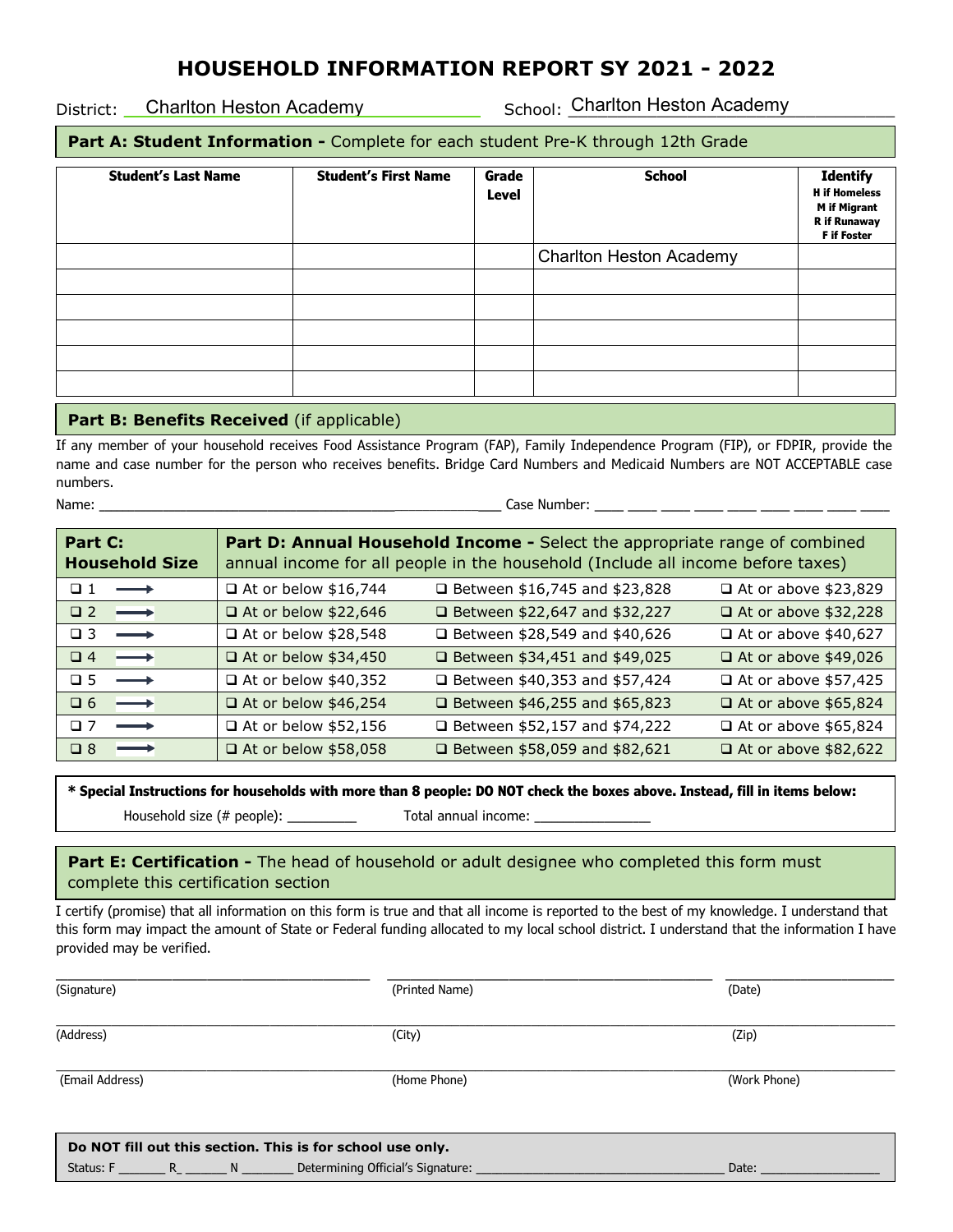## **HOUSEHOLD INFORMATION REPORT SY 2021 - 2022**

District: \_\_\_\_\_\_\_\_\_\_\_\_\_\_\_\_\_\_\_\_\_\_\_\_\_\_\_\_\_\_\_\_\_\_\_\_ School: \_\_\_\_\_\_\_\_\_\_\_\_\_\_\_\_\_\_\_\_\_\_\_\_\_\_\_\_\_\_\_\_\_ Charlton Heston Academy Charlton Heston Academy

## **Part A: Student Information -** Complete for each student Pre-K through 12th Grade

| <b>Student's Last Name</b> | <b>Student's First Name</b> | Grade<br>Level | <b>School</b>                  | <b>Identify</b><br><b>H</b> if Homeless<br>M if Migrant<br><b>R</b> if Runaway<br><b>F</b> if Foster |
|----------------------------|-----------------------------|----------------|--------------------------------|------------------------------------------------------------------------------------------------------|
|                            |                             |                | <b>Charlton Heston Academy</b> |                                                                                                      |
|                            |                             |                |                                |                                                                                                      |
|                            |                             |                |                                |                                                                                                      |
|                            |                             |                |                                |                                                                                                      |
|                            |                             |                |                                |                                                                                                      |
|                            |                             |                |                                |                                                                                                      |

### **Part B: Benefits Received** (if applicable)

 If any member of your household receives Food Assistance Program (FAP), Family Independence Program (FIP), or FDPIR, provide the name and case number for the person who receives benefits. Bridge Card Numbers and Medicaid Numbers are NOT ACCEPTABLE case numbers.

 $\overline{a}$ 

Name: \_\_\_\_\_\_\_\_\_\_\_\_\_\_\_\_\_\_\_\_\_\_\_\_\_\_\_\_\_\_\_\_\_\_\_\_\_\_\_\_\_\_\_\_\_\_\_\_\_\_\_\_\_\_\_\_\_\_\_\_\_\_\_\_\_\_\_ Case Number: \_\_\_\_\_ \_\_\_\_\_ \_\_\_\_\_ \_\_\_\_\_ \_\_\_\_\_ \_\_\_\_\_ \_\_\_\_\_ \_\_\_\_\_ \_\_\_\_\_

| Part C:<br><b>Household Size</b> |                             | Part D: Annual Household Income - Select the appropriate range of combined<br>annual income for all people in the household (Include all income before taxes) |                             |
|----------------------------------|-----------------------------|---------------------------------------------------------------------------------------------------------------------------------------------------------------|-----------------------------|
| $\Box$ 1                         | $\Box$ At or below \$16,744 | □ Between \$16,745 and \$23,828                                                                                                                               | $\Box$ At or above \$23,829 |
| $\Box 2$<br>$\longrightarrow$    | $\Box$ At or below \$22,646 | □ Between \$22,647 and \$32,227                                                                                                                               | □ At or above \$32,228      |
| $\Box$ 3                         | □ At or below \$28,548      | □ Between \$28,549 and \$40,626                                                                                                                               | $\Box$ At or above \$40,627 |
| $\Box 4$<br>$\longrightarrow$    | $\Box$ At or below \$34,450 | □ Between \$34,451 and \$49,025                                                                                                                               | $\Box$ At or above \$49,026 |
| $\square$ 5<br>$\longrightarrow$ | $\Box$ At or below \$40,352 | □ Between \$40,353 and \$57,424                                                                                                                               | $\Box$ At or above \$57,425 |
| $\Box$ 6<br>$\longrightarrow$    | □ At or below \$46,254      | □ Between \$46,255 and \$65,823                                                                                                                               | $\Box$ At or above \$65,824 |
| $\square$ 7                      | $\Box$ At or below \$52,156 | □ Between \$52,157 and \$74,222                                                                                                                               | $\Box$ At or above \$65,824 |
| $\Box 8$                         | □ At or below \$58,058      | □ Between \$58,059 and \$82,621                                                                                                                               | $\Box$ At or above \$82,622 |

#### **\* Special Instructions for households with more than 8 people: DO NOT check the boxes above. Instead, fill in items below:**

Household size (# people): Total annual income:

### Part E: Certification - The head of household or adult designee who completed this form must complete this certification section

I certify (promise) that all information on this form is true and that all income is reported to the best of my knowledge. I understand that this form may impact the amount of State or Federal funding allocated to my local school district. I understand that the information I have provided may be verified.

| (Signature)                                                | (Printed Name) | (Date)       |  |  |
|------------------------------------------------------------|----------------|--------------|--|--|
| (Address)                                                  | (City)         | (Zip)        |  |  |
| (Email Address)                                            | (Home Phone)   | (Work Phone) |  |  |
| Do NOT fill out this section. This is for school use only. |                |              |  |  |

Status: F \_\_\_\_\_\_\_\_\_ R\_ \_\_\_\_\_\_\_\_ N \_\_\_\_\_\_\_\_\_\_ Determining Official's Signature: \_\_\_\_\_\_\_\_\_\_\_\_\_\_\_\_\_\_\_\_\_\_\_\_\_\_\_\_\_\_\_\_\_\_\_\_\_\_\_\_\_\_\_\_\_\_\_\_ Date: \_\_\_\_\_\_\_\_\_\_\_\_\_\_\_\_\_\_\_\_\_\_\_